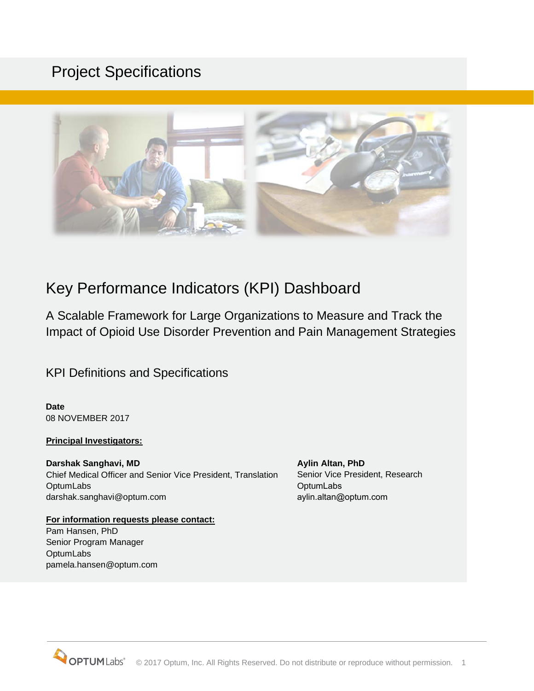# Project Specifications



# Key Performance Indicators (KPI) Dashboard

A Scalable Framework for Large Organizations to Measure and Track the Impact of Opioid Use Disorder Prevention and Pain Management Strategies

KPI Definitions and Specifications

**Date** 08 NOVEMBER 2017

#### **Principal Investigators:**

**Darshak Sanghavi, MD**  Chief Medical Officer and Senior Vice President, Translation **OptumLabs** darshak.sanghavi@optum.com and aylin.altan@optum.com

**For information requests please contact:** Pam Hansen, PhD Senior Program Manager **OptumLabs** pamela.hansen@optum.com

**Aylin Altan, PhD**  Senior Vice President, Research **OptumLabs**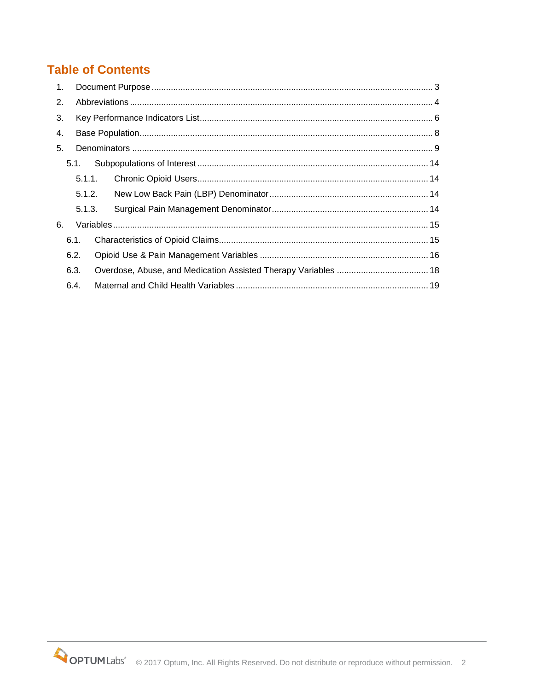## **Table of Contents**

| 1 <sup>1</sup> |        |  |  |  |  |
|----------------|--------|--|--|--|--|
| 2.             |        |  |  |  |  |
| 3.             |        |  |  |  |  |
| 4.             |        |  |  |  |  |
| 5 <sub>1</sub> |        |  |  |  |  |
|                | 5.1.   |  |  |  |  |
|                | 5.1.1. |  |  |  |  |
|                | 5.1.2. |  |  |  |  |
|                | 5.1.3. |  |  |  |  |
| 6.             |        |  |  |  |  |
|                | 6.1.   |  |  |  |  |
| 6.2.           |        |  |  |  |  |
| 6.3.           |        |  |  |  |  |
|                | 6.4.   |  |  |  |  |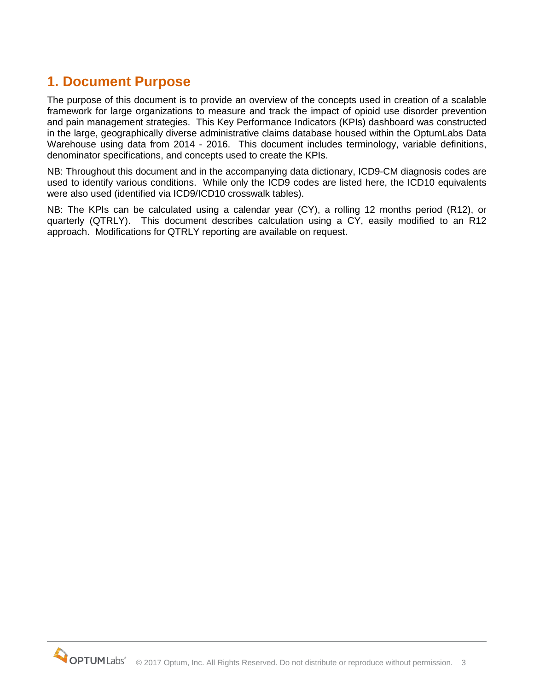## <span id="page-2-0"></span>**1. Document Purpose**

The purpose of this document is to provide an overview of the concepts used in creation of a scalable framework for large organizations to measure and track the impact of opioid use disorder prevention and pain management strategies. This Key Performance Indicators (KPIs) dashboard was constructed in the large, geographically diverse administrative claims database housed within the OptumLabs Data Warehouse using data from 2014 - 2016. This document includes terminology, variable definitions, denominator specifications, and concepts used to create the KPIs.

NB: Throughout this document and in the accompanying data dictionary, ICD9-CM diagnosis codes are used to identify various conditions. While only the ICD9 codes are listed here, the ICD10 equivalents were also used (identified via ICD9/ICD10 crosswalk tables).

NB: The KPIs can be calculated using a calendar year (CY), a rolling 12 months period (R12), or quarterly (QTRLY). This document describes calculation using a CY, easily modified to an R12 approach. Modifications for QTRLY reporting are available on request.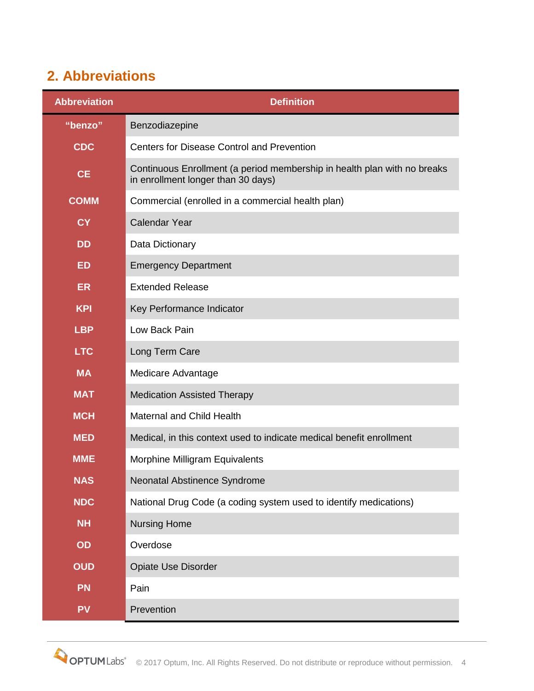# <span id="page-3-0"></span>**2. Abbreviations**

| <b>Abbreviation</b>                                                             | <b>Definition</b>                                                                                              |  |  |
|---------------------------------------------------------------------------------|----------------------------------------------------------------------------------------------------------------|--|--|
| "benzo"                                                                         | Benzodiazepine                                                                                                 |  |  |
| <b>CDC</b>                                                                      | <b>Centers for Disease Control and Prevention</b>                                                              |  |  |
| <b>CE</b>                                                                       | Continuous Enrollment (a period membership in health plan with no breaks<br>in enrollment longer than 30 days) |  |  |
| <b>COMM</b>                                                                     | Commercial (enrolled in a commercial health plan)                                                              |  |  |
| <b>CY</b>                                                                       | <b>Calendar Year</b>                                                                                           |  |  |
| <b>DD</b>                                                                       | Data Dictionary                                                                                                |  |  |
| <b>ED</b>                                                                       | <b>Emergency Department</b>                                                                                    |  |  |
| <b>ER</b>                                                                       | <b>Extended Release</b>                                                                                        |  |  |
| <b>KPI</b>                                                                      | Key Performance Indicator                                                                                      |  |  |
| Low Back Pain<br><b>LBP</b>                                                     |                                                                                                                |  |  |
| <b>LTC</b><br>Long Term Care                                                    |                                                                                                                |  |  |
| <b>MA</b><br>Medicare Advantage                                                 |                                                                                                                |  |  |
| <b>MAT</b>                                                                      | <b>Medication Assisted Therapy</b>                                                                             |  |  |
| <b>MCH</b>                                                                      | <b>Maternal and Child Health</b>                                                                               |  |  |
| <b>MED</b>                                                                      | Medical, in this context used to indicate medical benefit enrollment                                           |  |  |
| <b>MME</b>                                                                      | Morphine Milligram Equivalents                                                                                 |  |  |
| <b>NAS</b><br>Neonatal Abstinence Syndrome                                      |                                                                                                                |  |  |
| <b>NDC</b><br>National Drug Code (a coding system used to identify medications) |                                                                                                                |  |  |
| <b>NH</b><br><b>Nursing Home</b>                                                |                                                                                                                |  |  |
| OD                                                                              | Overdose                                                                                                       |  |  |
| <b>OUD</b>                                                                      | <b>Opiate Use Disorder</b>                                                                                     |  |  |
| <b>PN</b>                                                                       | Pain                                                                                                           |  |  |
| <b>PV</b>                                                                       | Prevention                                                                                                     |  |  |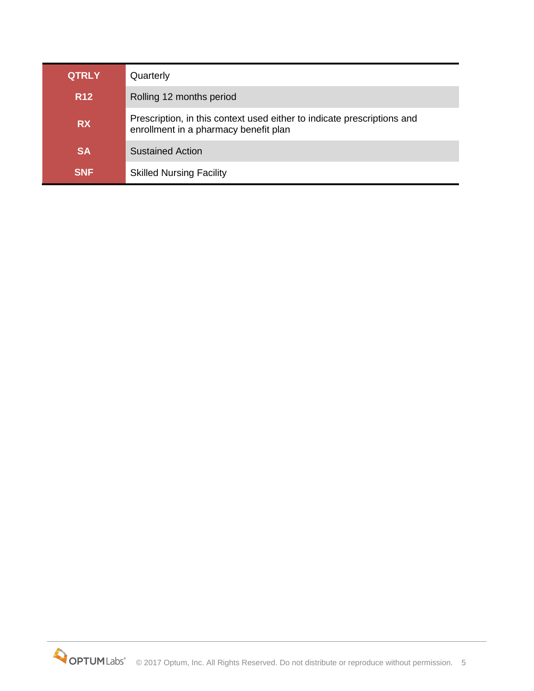| <b>QTRLY</b>                                                                                                                  | Quarterly                       |  |
|-------------------------------------------------------------------------------------------------------------------------------|---------------------------------|--|
| <b>R12</b><br>Rolling 12 months period                                                                                        |                                 |  |
| Prescription, in this context used either to indicate prescriptions and<br><b>RX</b><br>enrollment in a pharmacy benefit plan |                                 |  |
| <b>SA</b>                                                                                                                     | <b>Sustained Action</b>         |  |
| <b>SNF</b>                                                                                                                    | <b>Skilled Nursing Facility</b> |  |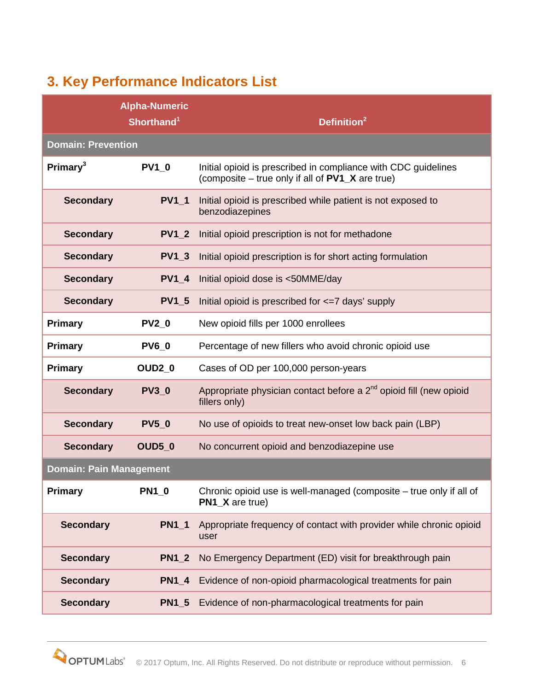# <span id="page-5-0"></span>**3. Key Performance Indicators List**

|                                      | <b>Alpha-Numeric</b><br>Shorthand <sup>1</sup> | Definition <sup>2</sup>                                                                                            |  |  |  |
|--------------------------------------|------------------------------------------------|--------------------------------------------------------------------------------------------------------------------|--|--|--|
|                                      | <b>Domain: Prevention</b>                      |                                                                                                                    |  |  |  |
| Primary <sup>3</sup><br><b>PV1 0</b> |                                                | Initial opioid is prescribed in compliance with CDC guidelines<br>(composite – true only if all of PV1_X are true) |  |  |  |
| <b>Secondary</b>                     | <b>PV1_1</b>                                   | Initial opioid is prescribed while patient is not exposed to<br>benzodiazepines                                    |  |  |  |
| <b>Secondary</b>                     | <b>PV1 2</b>                                   | Initial opioid prescription is not for methadone                                                                   |  |  |  |
| <b>Secondary</b>                     | <b>PV1 3</b>                                   | Initial opioid prescription is for short acting formulation                                                        |  |  |  |
| <b>Secondary</b>                     | <b>PV1 4</b>                                   | Initial opioid dose is <50MME/day                                                                                  |  |  |  |
| <b>Secondary</b>                     | <b>PV1 5</b>                                   | Initial opioid is prescribed for <= 7 days' supply                                                                 |  |  |  |
| <b>Primary</b>                       | <b>PV2 0</b>                                   | New opioid fills per 1000 enrollees                                                                                |  |  |  |
| <b>Primary</b>                       | <b>PV6 0</b>                                   | Percentage of new fillers who avoid chronic opioid use                                                             |  |  |  |
| Primary                              | OUD <sub>2_0</sub>                             | Cases of OD per 100,000 person-years                                                                               |  |  |  |
| <b>Secondary</b>                     | <b>PV3 0</b>                                   | Appropriate physician contact before a 2 <sup>nd</sup> opioid fill (new opioid<br>fillers only)                    |  |  |  |
| <b>Secondary</b>                     | <b>PV5 0</b>                                   | No use of opioids to treat new-onset low back pain (LBP)                                                           |  |  |  |
| <b>Secondary</b>                     | OUD50                                          | No concurrent opioid and benzodiazepine use                                                                        |  |  |  |
| <b>Domain: Pain Management</b>       |                                                |                                                                                                                    |  |  |  |
| Primary                              | <b>PN1_0</b>                                   | Chronic opioid use is well-managed (composite - true only if all of<br>PN1_X are true)                             |  |  |  |
| <b>Secondary</b>                     | $PN1_1$                                        | Appropriate frequency of contact with provider while chronic opioid<br>user                                        |  |  |  |
| <b>Secondary</b>                     | <b>PN1 2</b>                                   | No Emergency Department (ED) visit for breakthrough pain                                                           |  |  |  |
| <b>Secondary</b>                     | <b>PN1 4</b>                                   | Evidence of non-opioid pharmacological treatments for pain                                                         |  |  |  |
| <b>Secondary</b>                     | $PN1_5$                                        | Evidence of non-pharmacological treatments for pain                                                                |  |  |  |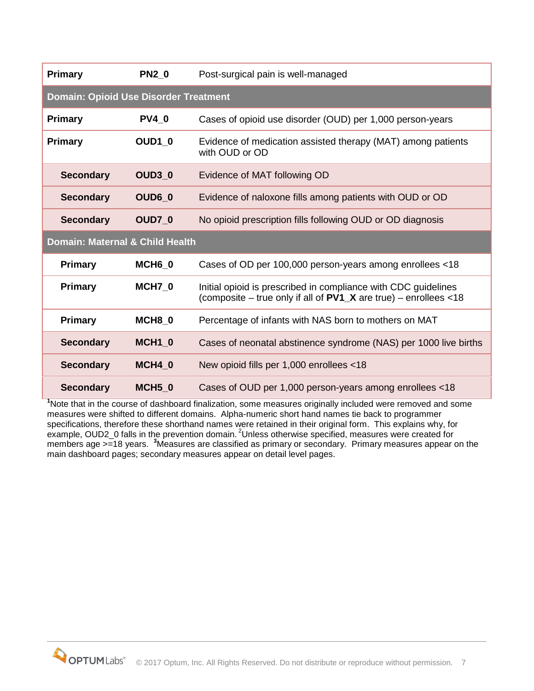| Primary                                      | <b>PN2 0</b>       | Post-surgical pain is well-managed                                                                                                   |  |  |
|----------------------------------------------|--------------------|--------------------------------------------------------------------------------------------------------------------------------------|--|--|
| <b>Domain: Opioid Use Disorder Treatment</b> |                    |                                                                                                                                      |  |  |
| Primary                                      | <b>PV4 0</b>       | Cases of opioid use disorder (OUD) per 1,000 person-years                                                                            |  |  |
| Primary                                      | OUD1 0             | Evidence of medication assisted therapy (MAT) among patients<br>with OUD or OD                                                       |  |  |
| <b>Secondary</b>                             | OUD3 0             | Evidence of MAT following OD                                                                                                         |  |  |
| <b>Secondary</b>                             | OUD6 0             | Evidence of naloxone fills among patients with OUD or OD                                                                             |  |  |
| <b>Secondary</b>                             | OUD7 0             | No opioid prescription fills following OUD or OD diagnosis                                                                           |  |  |
| Domain: Maternal & Child Health              |                    |                                                                                                                                      |  |  |
| <b>Primary</b>                               | MCH6 0             | Cases of OD per 100,000 person-years among enrollees <18                                                                             |  |  |
| <b>Primary</b>                               | MCH7 0             | Initial opioid is prescribed in compliance with CDC guidelines<br>(composite – true only if all of $PV1_X$ are true) – enrollees <18 |  |  |
| <b>Primary</b>                               | MCH8 0             | Percentage of infants with NAS born to mothers on MAT                                                                                |  |  |
| <b>Secondary</b>                             | MCH <sub>1</sub> 0 | Cases of neonatal abstinence syndrome (NAS) per 1000 live births                                                                     |  |  |
| <b>Secondary</b>                             | MCH4 0             | New opioid fills per 1,000 enrollees <18                                                                                             |  |  |
| <b>Secondary</b>                             | MCH <sub>5</sub> 0 | Cases of OUD per 1,000 person-years among enrollees <18                                                                              |  |  |

<sup>1</sup>Note that in the course of dashboard finalization, some measures originally included were removed and some measures were shifted to different domains. Alpha-numeric short hand names tie back to programmer specifications, therefore these shorthand names were retained in their original form. This explains why, for example, OUD2\_0 falls in the prevention domain. <sup>2</sup>Unless otherwise specified, measures were created for members age >=18 years. <sup>3</sup>Measures are classified as primary or secondary. Primary measures appear on the main dashboard pages; secondary measures appear on detail level pages.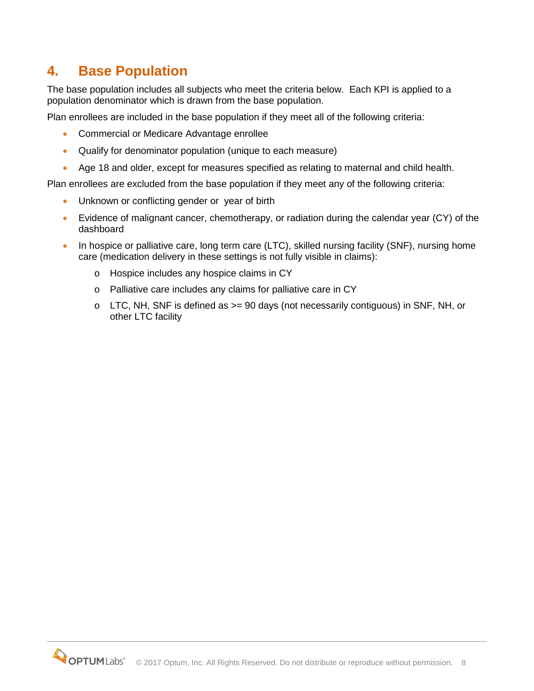## <span id="page-7-0"></span>**4. Base Population**

The base population includes all subjects who meet the criteria below. Each KPI is applied to a population denominator which is drawn from the base population.

Plan enrollees are included in the base population if they meet all of the following criteria:

- Commercial or Medicare Advantage enrollee
- Qualify for denominator population (unique to each measure)
- Age 18 and older, except for measures specified as relating to maternal and child health.

Plan enrollees are excluded from the base population if they meet any of the following criteria:

- Unknown or conflicting gender or year of birth
- Evidence of malignant cancer, chemotherapy, or radiation during the calendar year (CY) of the dashboard
- In hospice or palliative care, long term care (LTC), skilled nursing facility (SNF), nursing home care (medication delivery in these settings is not fully visible in claims):
	- o Hospice includes any hospice claims in CY
	- o Palliative care includes any claims for palliative care in CY
	- o LTC, NH, SNF is defined as >= 90 days (not necessarily contiguous) in SNF, NH, or other LTC facility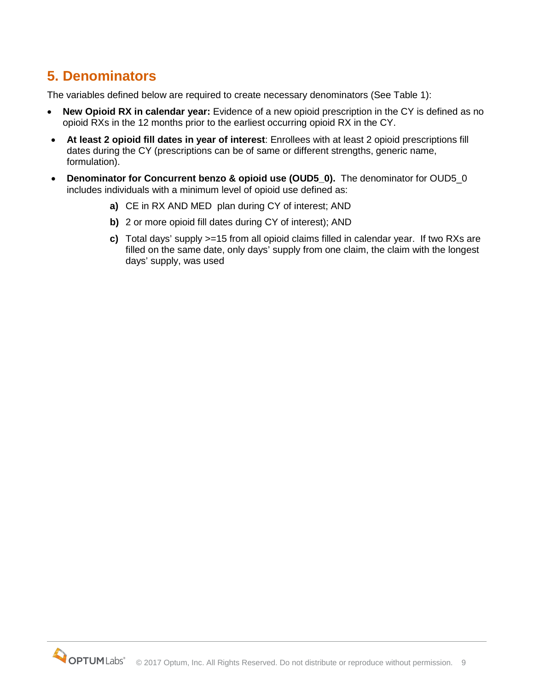# <span id="page-8-0"></span>**5. Denominators**

The variables defined below are required to create necessary denominators (See Table 1):

- **New Opioid RX in calendar year:** Evidence of a new opioid prescription in the CY is defined as no opioid RXs in the 12 months prior to the earliest occurring opioid RX in the CY.
- **At least 2 opioid fill dates in year of interest**: Enrollees with at least 2 opioid prescriptions fill dates during the CY (prescriptions can be of same or different strengths, generic name, formulation).
- Denominator for Concurrent benzo & opioid use (OUD5 0). The denominator for OUD5 0 includes individuals with a minimum level of opioid use defined as:
	- **a)** CE in RX AND MED plan during CY of interest; AND
	- **b)** 2 or more opioid fill dates during CY of interest); AND
	- **c)** Total days' supply >=15 from all opioid claims filled in calendar year. If two RXs are filled on the same date, only days' supply from one claim, the claim with the longest days' supply, was used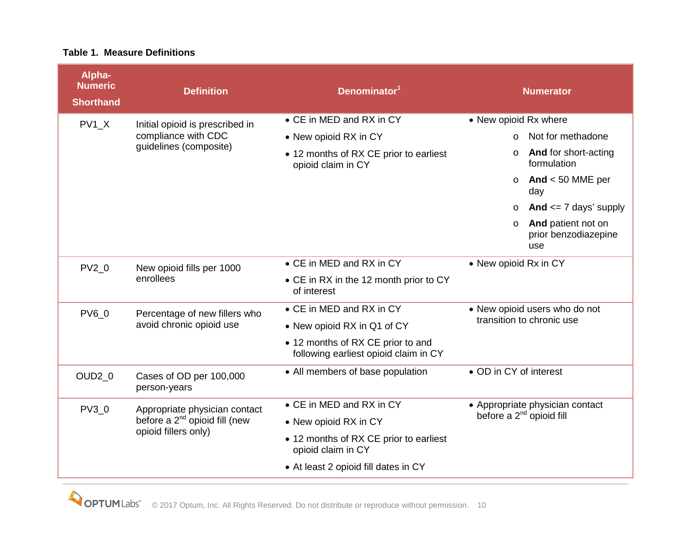#### **Table 1. Measure Definitions**

| Alpha-<br><b>Numeric</b><br><b>Shorthand</b> | <b>Definition</b>                                                                                  | Denominator <sup>1</sup>                                                   | <b>Numerator</b>                                                 |
|----------------------------------------------|----------------------------------------------------------------------------------------------------|----------------------------------------------------------------------------|------------------------------------------------------------------|
| PV1 X                                        | Initial opioid is prescribed in<br>compliance with CDC<br>guidelines (composite)                   | • CE in MED and RX in CY                                                   | • New opioid Rx where                                            |
|                                              |                                                                                                    | • New opioid RX in CY                                                      | Not for methadone<br>$\Omega$                                    |
|                                              |                                                                                                    | • 12 months of RX CE prior to earliest<br>opioid claim in CY               | And for short-acting<br>$\circ$<br>formulation                   |
|                                              |                                                                                                    |                                                                            | And $<$ 50 MME per<br>$\circ$<br>day                             |
|                                              |                                                                                                    |                                                                            | And $\leq$ 7 days' supply<br>$\circ$                             |
|                                              |                                                                                                    |                                                                            | And patient not on<br>$\circ$<br>prior benzodiazepine<br>use     |
| $PV2_0$                                      | New opioid fills per 1000<br>enrollees                                                             | • CE in MED and RX in CY                                                   | • New opioid Rx in CY                                            |
|                                              |                                                                                                    | • CE in RX in the 12 month prior to CY<br>of interest                      |                                                                  |
| <b>PV6 0</b>                                 | Percentage of new fillers who                                                                      | • CE in MED and RX in CY                                                   | • New opioid users who do not<br>transition to chronic use       |
|                                              | avoid chronic opioid use                                                                           | • New opioid RX in Q1 of CY                                                |                                                                  |
|                                              |                                                                                                    | • 12 months of RX CE prior to and<br>following earliest opioid claim in CY |                                                                  |
| OUD <sub>2_0</sub>                           | Cases of OD per 100,000<br>person-years                                                            | • All members of base population                                           | • OD in CY of interest                                           |
| $PV3_0$                                      | Appropriate physician contact<br>before a 2 <sup>nd</sup> opioid fill (new<br>opioid fillers only) | • CE in MED and RX in CY                                                   | • Appropriate physician contact<br>before a $2^{nd}$ opioid fill |
|                                              |                                                                                                    | • New opioid RX in CY                                                      |                                                                  |
|                                              |                                                                                                    | • 12 months of RX CE prior to earliest<br>opioid claim in CY               |                                                                  |
|                                              |                                                                                                    | • At least 2 opioid fill dates in CY                                       |                                                                  |

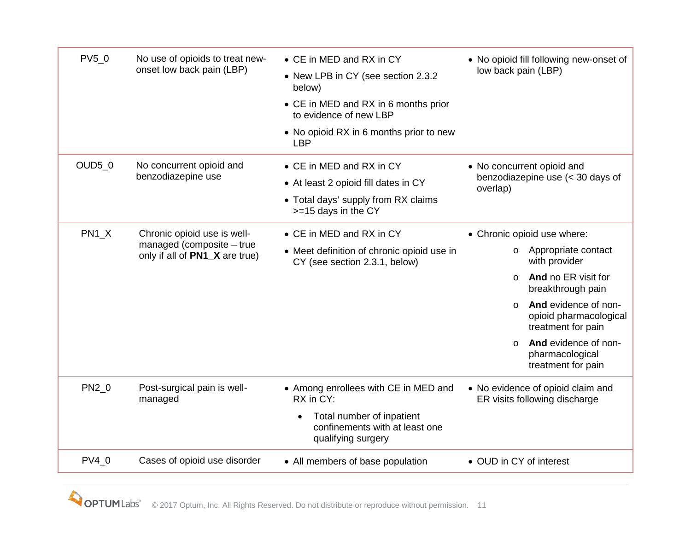| PV5_0         | No use of opioids to treat new-<br>onset low back pain (LBP)                               | • CE in MED and RX in CY<br>• New LPB in CY (see section 2.3.2<br>below)<br>• CE in MED and RX in 6 months prior<br>to evidence of new LBP<br>• No opioid RX in 6 months prior to new<br><b>LBP</b> | • No opioid fill following new-onset of<br>low back pain (LBP)                                                                                                                                                                                                                                         |
|---------------|--------------------------------------------------------------------------------------------|-----------------------------------------------------------------------------------------------------------------------------------------------------------------------------------------------------|--------------------------------------------------------------------------------------------------------------------------------------------------------------------------------------------------------------------------------------------------------------------------------------------------------|
| <b>OUD5_0</b> | No concurrent opioid and<br>benzodiazepine use                                             | • CE in MED and RX in CY<br>• At least 2 opioid fill dates in CY<br>• Total days' supply from RX claims<br>>=15 days in the CY                                                                      | • No concurrent opioid and<br>benzodiazepine use (< 30 days of<br>overlap)                                                                                                                                                                                                                             |
| $PN1_X$       | Chronic opioid use is well-<br>managed (composite - true<br>only if all of PN1_X are true) | • CE in MED and RX in CY<br>• Meet definition of chronic opioid use in<br>CY (see section 2.3.1, below)                                                                                             | • Chronic opioid use where:<br>Appropriate contact<br>$\circ$<br>with provider<br>And no ER visit for<br>$\circ$<br>breakthrough pain<br>And evidence of non-<br>$\Omega$<br>opioid pharmacological<br>treatment for pain<br>And evidence of non-<br>$\Omega$<br>pharmacological<br>treatment for pain |
| PN2_0         | Post-surgical pain is well-<br>managed                                                     | • Among enrollees with CE in MED and<br>RX in CY:<br>Total number of inpatient<br>$\bullet$<br>confinements with at least one<br>qualifying surgery                                                 | • No evidence of opioid claim and<br>ER visits following discharge                                                                                                                                                                                                                                     |
| $PV4_0$       | Cases of opioid use disorder                                                               | • All members of base population                                                                                                                                                                    | • OUD in CY of interest                                                                                                                                                                                                                                                                                |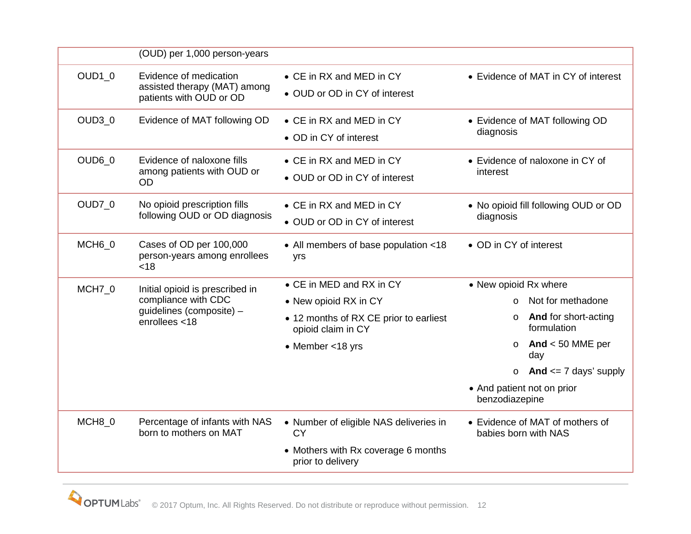|                    | (OUD) per 1,000 person-years                                                      |                                                              |                                                         |
|--------------------|-----------------------------------------------------------------------------------|--------------------------------------------------------------|---------------------------------------------------------|
| OUD1_0             | Evidence of medication<br>assisted therapy (MAT) among<br>patients with OUD or OD | • CE in RX and MED in CY<br>• OUD or OD in CY of interest    | • Evidence of MAT in CY of interest                     |
| $OUD3_0$           | Evidence of MAT following OD                                                      | • CE in RX and MED in CY<br>• OD in CY of interest           | • Evidence of MAT following OD<br>diagnosis             |
| OUD60              | Evidence of naloxone fills<br>among patients with OUD or<br><b>OD</b>             | • CE in RX and MED in CY<br>• OUD or OD in CY of interest    | • Evidence of naloxone in CY of<br>interest             |
| <b>OUD7_0</b>      | No opioid prescription fills<br>following OUD or OD diagnosis                     | • CE in RX and MED in CY<br>• OUD or OD in CY of interest    | . No opioid fill following OUD or OD<br>diagnosis       |
| MCH <sub>6_0</sub> | Cases of OD per 100,000<br>person-years among enrollees<br>< 18                   | • All members of base population <18<br>yrs                  | • OD in CY of interest                                  |
| MCH7_0             | Initial opioid is prescribed in                                                   | • CE in MED and RX in CY                                     | • New opioid Rx where                                   |
|                    | compliance with CDC<br>guidelines (composite) -<br>enrollees <18                  | • New opioid RX in CY                                        | Not for methadone                                       |
|                    |                                                                                   | • 12 months of RX CE prior to earliest<br>opioid claim in CY | <b>And for short-acting</b><br>$\circ$<br>formulation   |
|                    |                                                                                   | • Member <18 yrs                                             | And $<$ 50 MME per<br>$\circ$<br>day                    |
|                    |                                                                                   |                                                              | o And $\leq$ 7 days' supply                             |
|                    |                                                                                   |                                                              | • And patient not on prior<br>benzodiazepine            |
| MCH8_0             | Percentage of infants with NAS<br>born to mothers on MAT                          | • Number of eligible NAS deliveries in<br>СY                 | • Evidence of MAT of mothers of<br>babies born with NAS |
|                    |                                                                                   | • Mothers with Rx coverage 6 months<br>prior to delivery     |                                                         |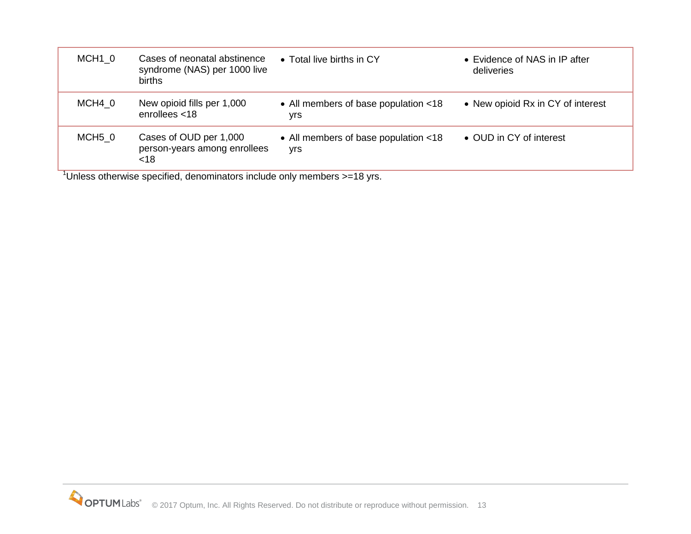| MCH <sub>1</sub> 0 | Cases of neonatal abstinence<br>syndrome (NAS) per 1000 live<br>births | • Total live births in CY                   | • Evidence of NAS in IP after<br>deliveries |
|--------------------|------------------------------------------------------------------------|---------------------------------------------|---------------------------------------------|
| MCH4 0             | New opioid fills per 1,000<br>enrollees $<$ 18                         | • All members of base population <18<br>yrs | • New opioid Rx in CY of interest           |
| MCH5 0<br>1.       | Cases of OUD per 1,000<br>person-years among enrollees<br>$<$ 18<br>.  | • All members of base population <18<br>yrs | • OUD in CY of interest                     |

<sup>1</sup>Unless otherwise specified, denominators include only members >=18 yrs.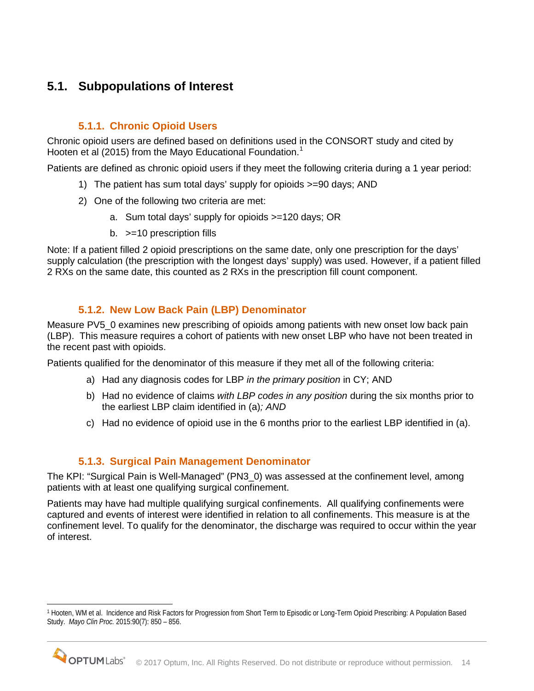## <span id="page-13-0"></span>**5.1. Subpopulations of Interest**

### **5.1.1. Chronic Opioid Users**

<span id="page-13-1"></span>Chronic opioid users are defined based on definitions used in the CONSORT study and cited by Hooten et al (20[1](#page-13-4)5) from the Mayo Educational Foundation.<sup>1</sup>

Patients are defined as chronic opioid users if they meet the following criteria during a 1 year period:

- 1) The patient has sum total days' supply for opioids >=90 days; AND
- 2) One of the following two criteria are met:
	- a. Sum total days' supply for opioids >=120 days; OR
	- b. >=10 prescription fills

Note: If a patient filled 2 opioid prescriptions on the same date, only one prescription for the days' supply calculation (the prescription with the longest days' supply) was used. However, if a patient filled 2 RXs on the same date, this counted as 2 RXs in the prescription fill count component.

### **5.1.2. New Low Back Pain (LBP) Denominator**

<span id="page-13-2"></span>Measure PV5\_0 examines new prescribing of opioids among patients with new onset low back pain (LBP). This measure requires a cohort of patients with new onset LBP who have not been treated in the recent past with opioids.

Patients qualified for the denominator of this measure if they met all of the following criteria:

- a) Had any diagnosis codes for LBP *in the primary position* in CY; AND
- b) Had no evidence of claims *with LBP codes in any position* during the six months prior to the earliest LBP claim identified in (a)*; AND*
- c) Had no evidence of opioid use in the 6 months prior to the earliest LBP identified in (a).

### **5.1.3. Surgical Pain Management Denominator**

<span id="page-13-3"></span>The KPI: "Surgical Pain is Well-Managed" (PN3\_0) was assessed at the confinement level, among patients with at least one qualifying surgical confinement.

Patients may have had multiple qualifying surgical confinements. All qualifying confinements were captured and events of interest were identified in relation to all confinements. This measure is at the confinement level. To qualify for the denominator, the discharge was required to occur within the year of interest.

<span id="page-13-4"></span><sup>1</sup> Hooten, WM et al. Incidence and Risk Factors for Progression from Short Term to Episodic or Long-Term Opioid Prescribing: A Population Based Study. *Mayo Clin Proc.* 2015:90(7): 850 – 856.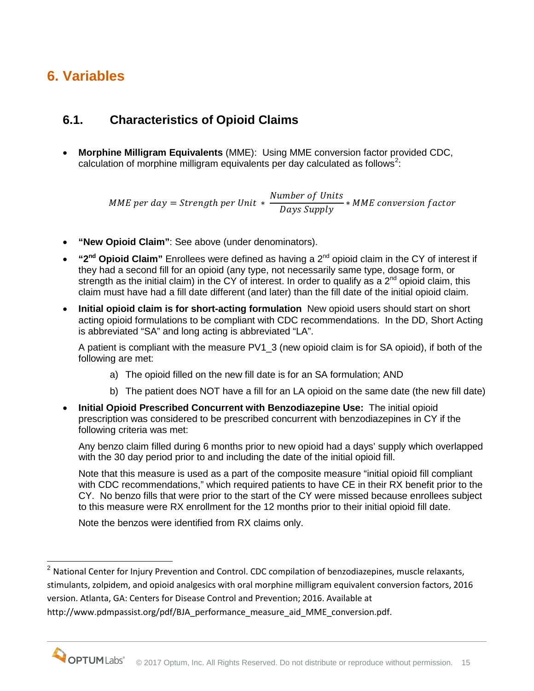# <span id="page-14-0"></span>**6. Variables**

## <span id="page-14-1"></span>**6.1. Characteristics of Opioid Claims**

• **Morphine Milligram Equivalents** (MME): Using MME conversion factor provided CDC, calculation of morphine milligram equivalents per day calculated as follows<sup>[2](#page-14-2)</sup>:

MME per day = Strength per Unit  $*\frac{Number\; of\; Units}{Days\; Supply}*MME\; conv$ 

- **"New Opioid Claim"**: See above (under denominators).
- **"2nd Opioid Claim"** Enrollees were defined as having a 2nd opioid claim in the CY of interest if they had a second fill for an opioid (any type, not necessarily same type, dosage form, or strength as the initial claim) in the CY of interest. In order to qualify as a  $2^{nd}$  opioid claim, this claim must have had a fill date different (and later) than the fill date of the initial opioid claim.
- **Initial opioid claim is for short-acting formulation** New opioid users should start on short acting opioid formulations to be compliant with CDC recommendations. In the DD, Short Acting is abbreviated "SA" and long acting is abbreviated "LA".

A patient is compliant with the measure PV1\_3 (new opioid claim is for SA opioid), if both of the following are met:

- a) The opioid filled on the new fill date is for an SA formulation; AND
- b) The patient does NOT have a fill for an LA opioid on the same date (the new fill date)
- **Initial Opioid Prescribed Concurrent with Benzodiazepine Use:** The initial opioid prescription was considered to be prescribed concurrent with benzodiazepines in CY if the following criteria was met:

Any benzo claim filled during 6 months prior to new opioid had a days' supply which overlapped with the 30 day period prior to and including the date of the initial opioid fill.

Note that this measure is used as a part of the composite measure "initial opioid fill compliant with CDC recommendations," which required patients to have CE in their RX benefit prior to the CY. No benzo fills that were prior to the start of the CY were missed because enrollees subject to this measure were RX enrollment for the 12 months prior to their initial opioid fill date.

Note the benzos were identified from RX claims only.

<span id="page-14-2"></span><sup>&</sup>lt;sup>2</sup> National Center for Injury Prevention and Control. CDC compilation of benzodiazepines, muscle relaxants, stimulants, zolpidem, and opioid analgesics with oral morphine milligram equivalent conversion factors, 2016 version. Atlanta, GA: Centers for Disease Control and Prevention; 2016. Available at http://www.pdmpassist.org/pdf/BJA\_performance\_measure\_aid\_MME\_conversion.pdf.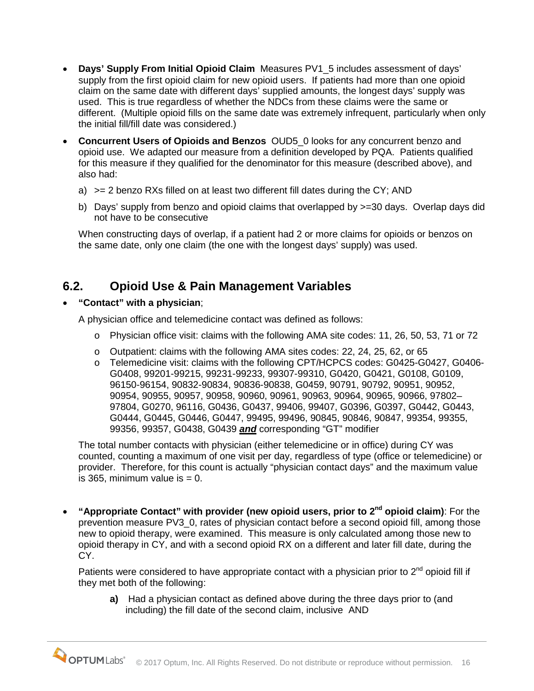- **Days' Supply From Initial Opioid Claim** Measures PV1\_5 includes assessment of days' supply from the first opioid claim for new opioid users. If patients had more than one opioid claim on the same date with different days' supplied amounts, the longest days' supply was used. This is true regardless of whether the NDCs from these claims were the same or different. (Multiple opioid fills on the same date was extremely infrequent, particularly when only the initial fill/fill date was considered.)
- **Concurrent Users of Opioids and Benzos** OUD5\_0 looks for any concurrent benzo and opioid use. We adapted our measure from a definition developed by PQA. Patients qualified for this measure if they qualified for the denominator for this measure (described above), and also had:
	- a) >= 2 benzo RXs filled on at least two different fill dates during the CY; AND
	- b) Days' supply from benzo and opioid claims that overlapped by >=30 days. Overlap days did not have to be consecutive

When constructing days of overlap, if a patient had 2 or more claims for opioids or benzos on the same date, only one claim (the one with the longest days' supply) was used.

### <span id="page-15-0"></span>**6.2. Opioid Use & Pain Management Variables**

• **"Contact" with a physician**;

A physician office and telemedicine contact was defined as follows:

- o Physician office visit: claims with the following AMA site codes: 11, 26, 50, 53, 71 or 72
- o Outpatient: claims with the following AMA sites codes: 22, 24, 25, 62, or 65
- o Telemedicine visit: claims with the following CPT/HCPCS codes: G0425-G0427, G0406- G0408, 99201-99215, 99231-99233, 99307-99310, G0420, G0421, G0108, G0109, 96150-96154, 90832-90834, 90836-90838, G0459, 90791, 90792, 90951, 90952, 90954, 90955, 90957, 90958, 90960, 90961, 90963, 90964, 90965, 90966, 97802– 97804, G0270, 96116, G0436, G0437, 99406, 99407, G0396, G0397, G0442, G0443, G0444, G0445, G0446, G0447, 99495, 99496, 90845, 90846, 90847, 99354, 99355, 99356, 99357, G0438, G0439 *and* corresponding "GT" modifier

The total number contacts with physician (either telemedicine or in office) during CY was counted, counting a maximum of one visit per day, regardless of type (office or telemedicine) or provider. Therefore, for this count is actually "physician contact days" and the maximum value is 365, minimum value is  $= 0$ .

• **"Appropriate Contact" with provider (new opioid users, prior to 2nd opioid claim)**: For the prevention measure PV3\_0, rates of physician contact before a second opioid fill, among those new to opioid therapy, were examined. This measure is only calculated among those new to opioid therapy in CY, and with a second opioid RX on a different and later fill date, during the CY.

Patients were considered to have appropriate contact with a physician prior to  $2<sup>nd</sup>$  opioid fill if they met both of the following:

**a)** Had a physician contact as defined above during the three days prior to (and including) the fill date of the second claim, inclusive AND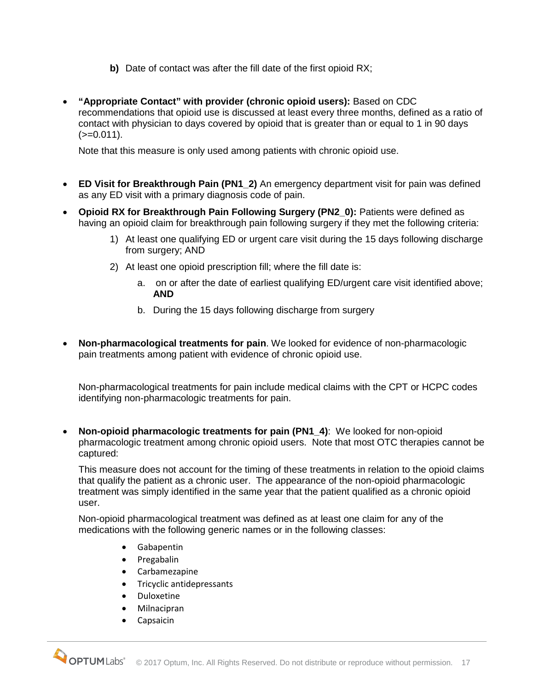- **b)** Date of contact was after the fill date of the first opioid RX;
- **"Appropriate Contact" with provider (chronic opioid users):** Based on CDC recommendations that opioid use is discussed at least every three months, defined as a ratio of contact with physician to days covered by opioid that is greater than or equal to 1 in 90 days  $(>=0.011).$

Note that this measure is only used among patients with chronic opioid use.

- **ED Visit for Breakthrough Pain (PN1\_2)** An emergency department visit for pain was defined as any ED visit with a primary diagnosis code of pain.
- **Opioid RX for Breakthrough Pain Following Surgery (PN2\_0):** Patients were defined as having an opioid claim for breakthrough pain following surgery if they met the following criteria:
	- 1) At least one qualifying ED or urgent care visit during the 15 days following discharge from surgery; AND
	- 2) At least one opioid prescription fill; where the fill date is:
		- a. on or after the date of earliest qualifying ED/urgent care visit identified above; **AND**
		- b. During the 15 days following discharge from surgery
- **Non-pharmacological treatments for pain**. We looked for evidence of non-pharmacologic pain treatments among patient with evidence of chronic opioid use.

Non-pharmacological treatments for pain include medical claims with the CPT or HCPC codes identifying non-pharmacologic treatments for pain.

• **Non-opioid pharmacologic treatments for pain (PN1\_4)**: We looked for non-opioid pharmacologic treatment among chronic opioid users. Note that most OTC therapies cannot be captured:

This measure does not account for the timing of these treatments in relation to the opioid claims that qualify the patient as a chronic user. The appearance of the non-opioid pharmacologic treatment was simply identified in the same year that the patient qualified as a chronic opioid user.

Non-opioid pharmacological treatment was defined as at least one claim for any of the medications with the following generic names or in the following classes:

- Gabapentin
- Pregabalin
- Carbamezapine
- Tricyclic antidepressants
- Duloxetine
- Milnacipran
- Capsaicin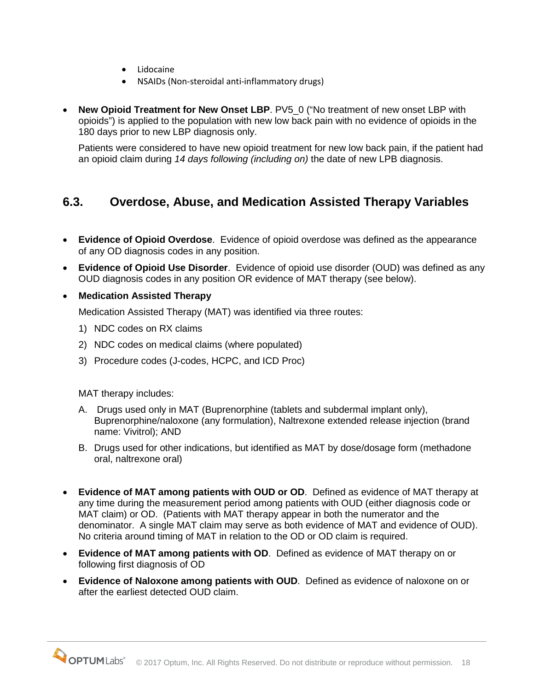- Lidocaine
- NSAIDs (Non-steroidal anti-inflammatory drugs)
- **New Opioid Treatment for New Onset LBP**. PV5\_0 ("No treatment of new onset LBP with opioids") is applied to the population with new low back pain with no evidence of opioids in the 180 days prior to new LBP diagnosis only.

Patients were considered to have new opioid treatment for new low back pain, if the patient had an opioid claim during *14 days following (including on)* the date of new LPB diagnosis.

### <span id="page-17-0"></span>**6.3. Overdose, Abuse, and Medication Assisted Therapy Variables**

- **Evidence of Opioid Overdose**. Evidence of opioid overdose was defined as the appearance of any OD diagnosis codes in any position.
- **Evidence of Opioid Use Disorder**. Evidence of opioid use disorder (OUD) was defined as any OUD diagnosis codes in any position OR evidence of MAT therapy (see below).
- **Medication Assisted Therapy**

Medication Assisted Therapy (MAT) was identified via three routes:

- 1) NDC codes on RX claims
- 2) NDC codes on medical claims (where populated)
- 3) Procedure codes (J-codes, HCPC, and ICD Proc)

MAT therapy includes:

- A. Drugs used only in MAT (Buprenorphine (tablets and subdermal implant only), Buprenorphine/naloxone (any formulation), Naltrexone extended release injection (brand name: Vivitrol); AND
- B. Drugs used for other indications, but identified as MAT by dose/dosage form (methadone oral, naltrexone oral)
- **Evidence of MAT among patients with OUD or OD**. Defined as evidence of MAT therapy at any time during the measurement period among patients with OUD (either diagnosis code or MAT claim) or OD. (Patients with MAT therapy appear in both the numerator and the denominator. A single MAT claim may serve as both evidence of MAT and evidence of OUD). No criteria around timing of MAT in relation to the OD or OD claim is required.
- **Evidence of MAT among patients with OD**. Defined as evidence of MAT therapy on or following first diagnosis of OD
- **Evidence of Naloxone among patients with OUD**. Defined as evidence of naloxone on or after the earliest detected OUD claim.